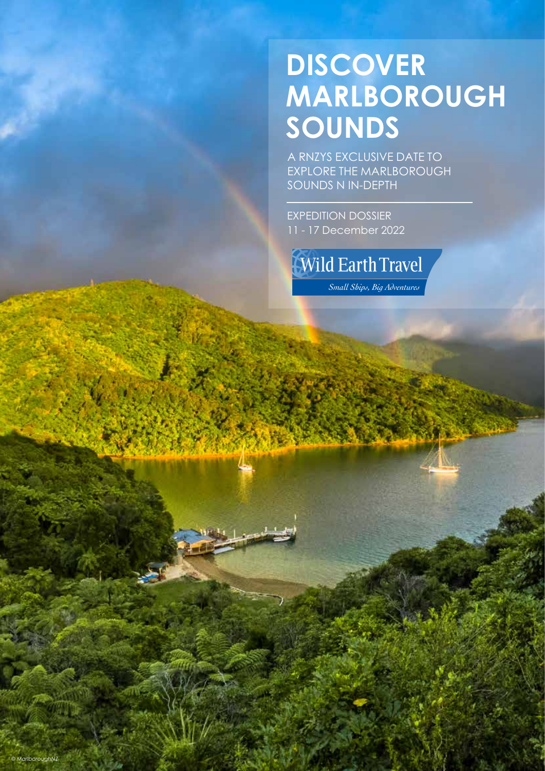# **DISCOVER MARLBOROUGH SOUNDS**

A RNZYS EXCLUSIVE DATE TO EXPLORE THE MARLBOROUGH SOUNDS N IN-DEPTH

EXPEDITION DOSSIER 11 - 17 December 2022

**Wild Earth Travel** 

Small Ships, Big Adventures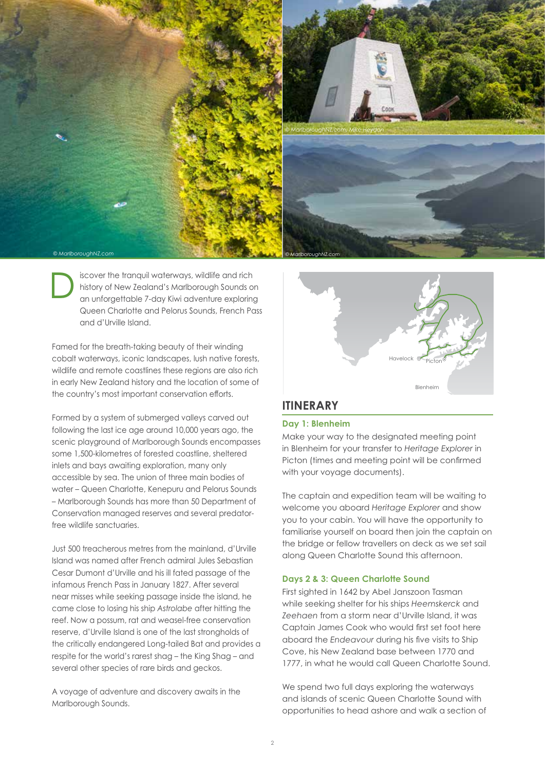

iscover the tranquil waterways, wildlife and rich history of New Zealand's Marlborough Sounds on an unforgettable 7-day Kiwi adventure exploring Queen Charlotte and Pelorus Sounds, French Pass and d'Urville Island. D

Famed for the breath-taking beauty of their winding cobalt waterways, iconic landscapes, lush native forests, wildlife and remote coastlines these regions are also rich in early New Zealand history and the location of some of the country's most important conservation efforts.

Formed by a system of submerged valleys carved out following the last ice age around 10,000 years ago, the scenic playground of Marlborough Sounds encompasses some 1,500-kilometres of forested coastline, sheltered inlets and bays awaiting exploration, many only accessible by sea. The union of three main bodies of water – Queen Charlotte, Kenepuru and Pelorus Sounds – Marlborough Sounds has more than 50 Department of Conservation managed reserves and several predatorfree wildlife sanctuaries.

Just 500 treacherous metres from the mainland, d'Urville Island was named after French admiral Jules Sebastian Cesar Dumont d'Urville and his ill fated passage of the infamous French Pass in January 1827. After several near misses while seeking passage inside the island, he came close to losing his ship *Astrolabe* after hitting the reef. Now a possum, rat and weasel-free conservation reserve, d'Urville Island is one of the last strongholds of the critically endangered Long-tailed Bat and provides a respite for the world's rarest shag – the King Shag – and several other species of rare birds and geckos.

A voyage of adventure and discovery awaits in the Marlborough Sounds.



### **ITINERARY**

### **Day 1: Blenheim**

Make your way to the designated meeting point in Blenheim for your transfer to *Heritage Explorer* in Picton (times and meeting point will be confirmed with your voyage documents).

The captain and expedition team will be waiting to welcome you aboard *Heritage Explorer* and show you to your cabin. You will have the opportunity to familiarise yourself on board then join the captain on the bridge or fellow travellers on deck as we set sail along Queen Charlotte Sound this afternoon.

### **Days 2 & 3: Queen Charlotte Sound**

First sighted in 1642 by Abel Janszoon Tasman while seeking shelter for his ships *Heemskerck* and *Zeehaen* from a storm near d'Urville Island, it was Captain James Cook who would first set foot here aboard the *Endeavour* during his five visits to Ship Cove, his New Zealand base between 1770 and 1777, in what he would call Queen Charlotte Sound.

We spend two full days exploring the waterways and islands of scenic Queen Charlotte Sound with opportunities to head ashore and walk a section of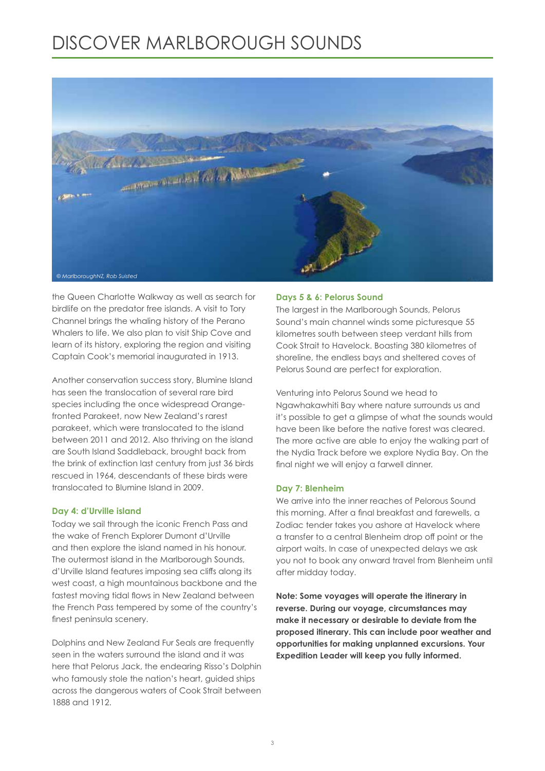# DISCOVER MARLBOROUGH SOUNDS



the Queen Charlotte Walkway as well as search for birdlife on the predator free islands. A visit to Tory Channel brings the whaling history of the Perano Whalers to life. We also plan to visit Ship Cove and learn of its history, exploring the region and visiting Captain Cook's memorial inaugurated in 1913.

Another conservation success story, Blumine Island has seen the translocation of several rare bird species including the once widespread Orangefronted Parakeet, now New Zealand's rarest parakeet, which were translocated to the island between 2011 and 2012. Also thriving on the island are South Island Saddleback, brought back from the brink of extinction last century from just 36 birds rescued in 1964, descendants of these birds were translocated to Blumine Island in 2009.

#### **Day 4: d'Urville island**

Today we sail through the iconic French Pass and the wake of French Explorer Dumont d'Urville and then explore the island named in his honour. The outermost island in the Marlborough Sounds, d'Urville Island features imposing sea cliffs along its west coast, a high mountainous backbone and the fastest moving tidal flows in New Zealand between the French Pass tempered by some of the country's finest peninsula scenery.

Dolphins and New Zealand Fur Seals are frequently seen in the waters surround the island and it was here that Pelorus Jack, the endearing Risso's Dolphin who famously stole the nation's heart, guided ships across the dangerous waters of Cook Strait between 1888 and 1912.

### **Days 5 & 6: Pelorus Sound**

The largest in the Marlborough Sounds, Pelorus Sound's main channel winds some picturesque 55 kilometres south between steep verdant hills from Cook Strait to Havelock. Boasting 380 kilometres of shoreline, the endless bays and sheltered coves of Pelorus Sound are perfect for exploration.

Venturing into Pelorus Sound we head to Ngawhakawhiti Bay where nature surrounds us and it's possible to get a glimpse of what the sounds would have been like before the native forest was cleared. The more active are able to enjoy the walking part of the Nydia Track before we explore Nydia Bay. On the final night we will enjoy a farwell dinner.

### **Day 7: Blenheim**

We arrive into the inner reaches of Pelorous Sound this morning. After a final breakfast and farewells, a Zodiac tender takes you ashore at Havelock where a transfer to a central Blenheim drop off point or the airport waits. In case of unexpected delays we ask you not to book any onward travel from Blenheim until after midday today.

**Note: Some voyages will operate the itinerary in reverse. During our voyage, circumstances may make it necessary or desirable to deviate from the proposed itinerary. This can include poor weather and opportunities for making unplanned excursions. Your Expedition Leader will keep you fully informed.**